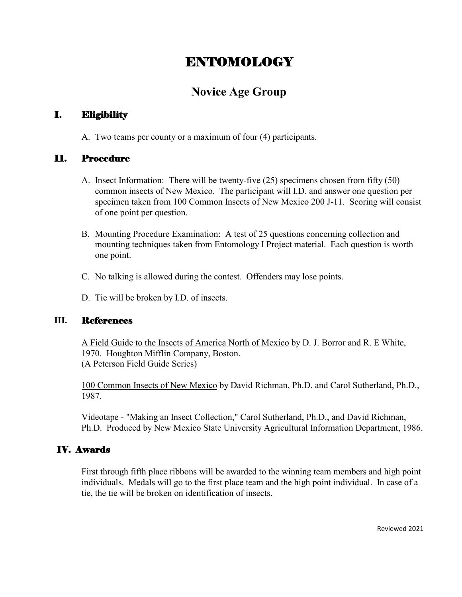# ENTOMOLOGY

# **Novice Age Group**

## I. Eligibility

A. Two teams per county or a maximum of four (4) participants.

## II. Procedure

- A. Insect Information: There will be twenty-five (25) specimens chosen from fifty (50) common insects of New Mexico. The participant will I.D. and answer one question per specimen taken from 100 Common Insects of New Mexico 200 J-11. Scoring will consist of one point per question.
- B. Mounting Procedure Examination: A test of 25 questions concerning collection and mounting techniques taken from Entomology I Project material. Each question is worth one point.
- C. No talking is allowed during the contest. Offenders may lose points.
- D. Tie will be broken by I.D. of insects.

## **III.** References

A Field Guide to the Insects of America North of Mexico by D. J. Borror and R. E White, 1970. Houghton Mifflin Company, Boston. (A Peterson Field Guide Series)

100 Common Insects of New Mexico by David Richman, Ph.D. and Carol Sutherland, Ph.D., 1987.

Videotape - "Making an Insect Collection," Carol Sutherland, Ph.D., and David Richman, Ph.D. Produced by New Mexico State University Agricultural Information Department, 1986.

## IV. Awards

First through fifth place ribbons will be awarded to the winning team members and high point individuals. Medals will go to the first place team and the high point individual. In case of a tie, the tie will be broken on identification of insects.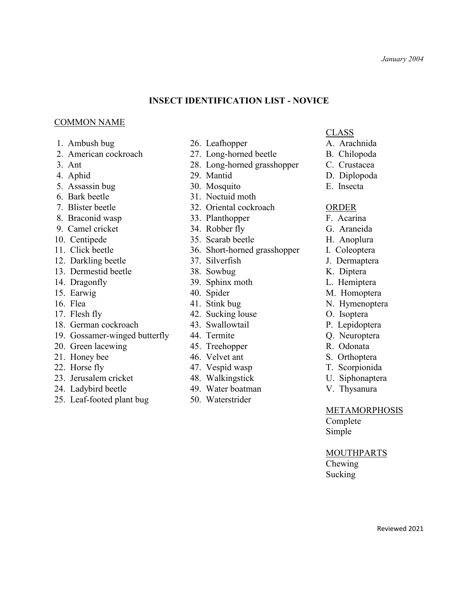## **INSECT IDENTIFICATION LIST - NOVICE**

#### COMMON NAME

- 
- 2. American cockroach 27. Long-horned beetle B. Chilopoda
- 
- 
- 5. Assassin bug 30. Mosquito E. Insecta
- 
- 
- 
- 
- 
- 
- 12. Darkling beetle 37. Silverfish J. Dermaptera
- 13. Dermestid beetle 38. Sowbug K. Diptera
- 
- 
- 
- 
- 18. German cockroach 43. Swallowtail P. Lepidoptera
- 19. Gossamer-winged butterfly 44. Termite Q. Neuroptera
- 20. Green lacewing 35. Treehopper 145. Treehopper R. Odonata
- 
- 
- 23. Jerusalem cricket 48. Walkingstick U. Siphonaptera
- 24. Ladybird beetle 49. Water boatman V. Thysanura
- 25. Leaf-footed plant bug 50. Waterstrider
- 1. Ambush bug 26. Leafhopper A. Arachnida
	-
- 3. Ant 28. Long-horned grasshopper C. Crustacea
- 4. Aphid 29. Mantid D. Diplopoda
	-
- 6. Bark beetle 31. Noctuid moth
- 7. Blister beetle 32. Oriental cockroach ORDER
- 8. Braconid wasp 33. Planthopper F. Acarina
- 9. Camel cricket 34. Robber fly G. Araneida
- 10. Centipede 35. Scarab beetle H. Anoplura
- 11. Click beetle 36. Short-horned grasshopper I. Coleoptera
	-
	-
- 14. Dragonfly 39. Sphinx moth L. Hemiptera
	-
	-
- 17. Flesh fly 11. All 42. Sucking louse 11. Sucking O. Isoptera
	-
	-
	-
- 21. Honey bee 46. Velvet ant S. Orthoptera
- 22. Horse fly **47.** Vespid wasp **T. Scorpionida** 
	-
	-
	-

#### CLASS

- 
- 
- 
- 
- 

- 
- 
- 
- 
- 
- 
- 
- 15. Earwig and 40. Spider M. Homoptera
- 16. Flea 11. Stink bug N. Hymenoptera
	-
	-
	-
	-
	-
	-
	-
	-

#### **METAMORPHOSIS**

Complete Simple

### MOUTHPARTS

Chewing Sucking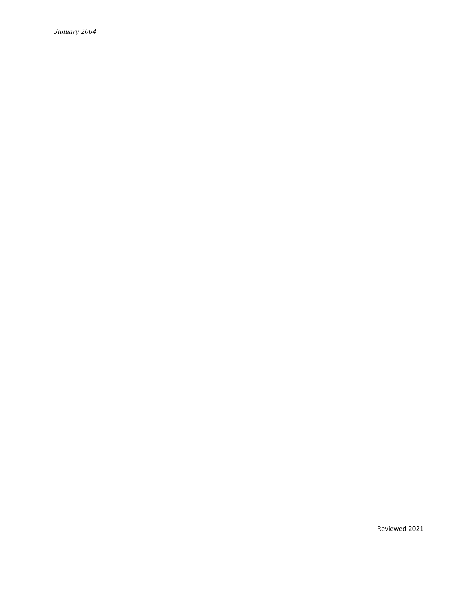*January 2004*

Reviewed 2021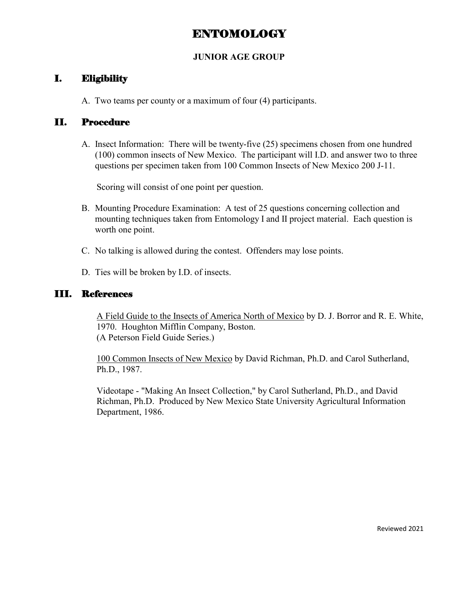# ENTOMOLOGY

## **JUNIOR AGE GROUP**

## I. Eligibility

A. Two teams per county or a maximum of four (4) participants.

## II. Procedure

A. Insect Information: There will be twenty-five (25) specimens chosen from one hundred (100) common insects of New Mexico. The participant will I.D. and answer two to three questions per specimen taken from 100 Common Insects of New Mexico 200 J-11.

Scoring will consist of one point per question.

- B. Mounting Procedure Examination: A test of 25 questions concerning collection and mounting techniques taken from Entomology I and II project material. Each question is worth one point.
- C. No talking is allowed during the contest. Offenders may lose points.
- D. Ties will be broken by I.D. of insects.

## III. References

A Field Guide to the Insects of America North of Mexico by D. J. Borror and R. E. White, 1970. Houghton Mifflin Company, Boston. (A Peterson Field Guide Series.)

100 Common Insects of New Mexico by David Richman, Ph.D. and Carol Sutherland, Ph.D., 1987.

Videotape - "Making An Insect Collection," by Carol Sutherland, Ph.D., and David Richman, Ph.D. Produced by New Mexico State University Agricultural Information Department, 1986.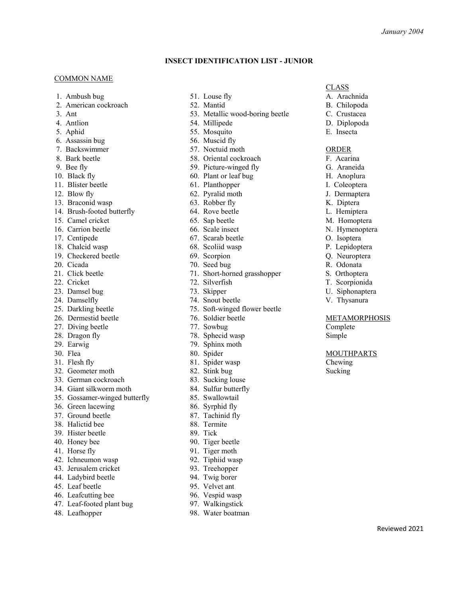Reviewed 2021

#### **INSECT IDENTIFICATION LIST - JUNIOR**

#### **COMMON NAME**

- 1. Ambush bug 51. Louse fly **A.** Arachnida
- 2. American cockroach 52. Mantid B. Chilopoda
- 
- 
- 5. Aphid 55. Mosquito E. Insecta
- 6. Assassin bug 56. Muscid fly
- 7. Backswimmer 57. Noctuid moth ORDER
- 8. Bark beetle 58. Oriental cockroach F. Acarina
- 
- 
- 
- 
- 13. Braconid wasp 63. Robber fly K. Diptera
- 14. Brush-footed butterfly 64. Rove beetle L. Hemiptera
- 15. Camel cricket 65. Sap beetle M. Homoptera
- 16. Carrion beetle 66. Scale insect N. Hymenoptera
- 
- 18. Chalcid wasp 68. Scoliid wasp P. Lepidoptera
- 19. Checkered beetle 69. Scorpion Q. Neuroptera
- 
- 
- 
- 23. Damsel bug 73. Skipper 73. Skipper U. Siphonaptera
- 
- 
- 26. Dermestid beetle 76. Soldier beetle METAMORPHOSIS
- 27. Diving beetle 27. Sowbug Complete 27. Sowbug Complete
- 
- 
- 
- 
- 32. Geometer moth 82. Stink bug Sucking Sucking
- 33. German cockroach 83. Sucking louse
- 34. Giant silkworm moth 84. Sulfur butterfly
- 35. Gossamer-winged butterfly 85. Swallowtail
- 36. Green lacewing 86. Syrphid fly
- 37. Ground beetle 87. Tachinid fly
- 38. Halictid bee 88. Termite
- 39. Hister beetle 89. Tick
- 40. Honey bee 90. Tiger beetle
- 
- 42. Ichneumon wasp 92. Tiphiid wasp
- 43. Jerusalem cricket 93. Treehopper
- 44. Ladybird beetle 94. Twig borer
- 45. Leaf beetle 95. Velvet ant
- 46. Leafcutting bee 96. Vespid wasp
- 47. Leaf-footed plant bug 97. Walkingstick
- 
- 
- 
- 3. Ant 53. Metallic wood-boring beetle C. Crustacea 4. Antlion 54. Millipede D. Diplopoda
	-
	-
	-
	-
	-
- 9. Bee fly 59. Picture-winged fly G. Araneida
- 10. Black fly 60. Plant or leaf bug H. Anoplura
- 11. Blister beetle 61. Planthopper I. Coleoptera
- 12. Blow fly 62. Pyralid moth J. Dermaptera
	-
	-
	-
	-
- 17. Centipede 67. Scarab beetle O. Isoptera
	-
	-
- 20. Cicada 70. Seed bug R. Odonata
- 21. Click beetle 71. Short-horned grasshopper S. Orthoptera
- 22. Cricket 72. Silverfish T. Scorpionida
	-
- 24. Damselfly 22. Solut beetle 22. Thysanura
- 25. Darkling beetle 75. Soft-winged flower beetle
	-
	-
- 28. Dragon fly 78. Sphecid wasp Simple
- 29. Earwig 79. Sphinx moth
- 30. Flea 80. Spider 80. Spider MOUTHPARTS
- 31. Flesh fly 81. Spider wasp Chewing
	-
	-
	-
	-
	-
	-
	-
	-
	-
- 41. Horse fly 91. Tiger moth
	-
	-
	-
	-
	-
	-
- 48. Leafhopper 98. Water boatman

#### CLASS